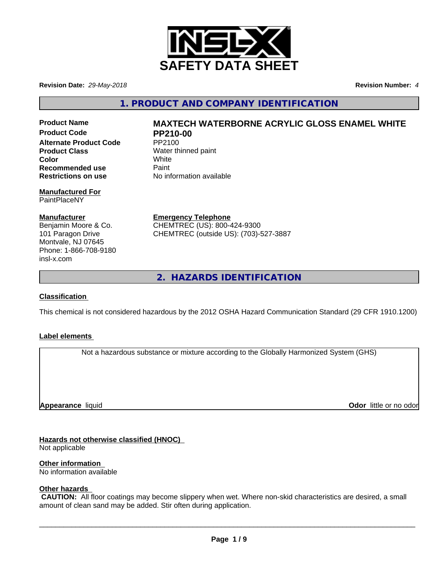

**Revision Date:** *29-May-2018* **Revision Number:** *4*

**1. PRODUCT AND COMPANY IDENTIFICATION**

**Product Code PP210-00 Alternate Product Code** PP2100 **Product Class** Water thinned paint **Color** White White **Recommended use** Paint<br> **Restrictions on use** No inf

#### **Manufactured For** PaintPlaceNY

#### **Manufacturer**

Benjamin Moore & Co. 101 Paragon Drive Montvale, NJ 07645 Phone: 1-866-708-9180 insl-x.com

# **Product Name MAXTECH WATERBORNE ACRYLIC GLOSS ENAMEL WHITE**

**Restrictions on use** No information available

**Emergency Telephone** CHEMTREC (US): 800-424-9300 CHEMTREC (outside US): (703)-527-3887

**2. HAZARDS IDENTIFICATION**

#### **Classification**

This chemical is not considered hazardous by the 2012 OSHA Hazard Communication Standard (29 CFR 1910.1200)

#### **Label elements**

Not a hazardous substance or mixture according to the Globally Harmonized System (GHS)

**Appearance** liquid

**Odor** little or no odor

# **Hazards not otherwise classified (HNOC)**

Not applicable

**Other information**

No information available

# **Other hazards**

 **CAUTION:** All floor coatings may become slippery when wet. Where non-skid characteristics are desired, a small amount of clean sand may be added. Stir often during application.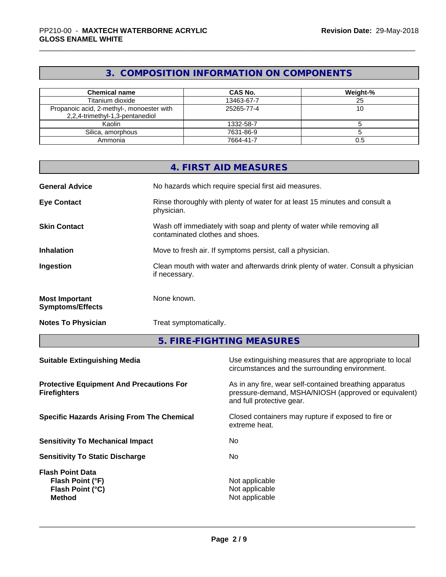# **3. COMPOSITION INFORMATION ON COMPONENTS**

| <b>Chemical name</b>                                                         | <b>CAS No.</b> | Weight-% |
|------------------------------------------------------------------------------|----------------|----------|
| Titanium dioxide                                                             | 13463-67-7     | 25       |
| Propanoic acid, 2-methyl-, monoester with<br>2,2,4-trimethyl-1,3-pentanediol | 25265-77-4     | טו       |
| Kaolin                                                                       | 1332-58-7      |          |
| Silica, amorphous                                                            | 7631-86-9      |          |
| Ammonia                                                                      | 7664-41-7      | 0.5      |

|                                                  | 4. FIRST AID MEASURES                                                                                    |
|--------------------------------------------------|----------------------------------------------------------------------------------------------------------|
| <b>General Advice</b>                            | No hazards which require special first aid measures.                                                     |
| <b>Eye Contact</b>                               | Rinse thoroughly with plenty of water for at least 15 minutes and consult a<br>physician.                |
| <b>Skin Contact</b>                              | Wash off immediately with soap and plenty of water while removing all<br>contaminated clothes and shoes. |
| <b>Inhalation</b>                                | Move to fresh air. If symptoms persist, call a physician.                                                |
| Ingestion                                        | Clean mouth with water and afterwards drink plenty of water. Consult a physician<br>if necessary.        |
| <b>Most Important</b><br><b>Symptoms/Effects</b> | None known.                                                                                              |
| <b>Notes To Physician</b>                        | Treat symptomatically.                                                                                   |

**5. FIRE-FIGHTING MEASURES**

| Use extinguishing measures that are appropriate to local<br>circumstances and the surrounding environment.                                   |
|----------------------------------------------------------------------------------------------------------------------------------------------|
| As in any fire, wear self-contained breathing apparatus<br>pressure-demand, MSHA/NIOSH (approved or equivalent)<br>and full protective gear. |
| Closed containers may rupture if exposed to fire or<br>extreme heat.                                                                         |
| No.                                                                                                                                          |
| No.                                                                                                                                          |
| Not applicable<br>Not applicable<br>Not applicable                                                                                           |
|                                                                                                                                              |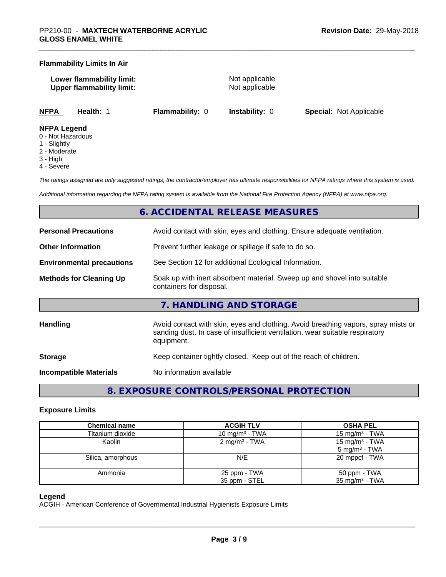#### **Flammability Limits In Air**

**Lower flammability limit:** Not applicable **Upper flammability limit:** Not applicable

**NFPA Health:** 1 **Flammability:** 0 **Instability:** 0 **Special:** Not Applicable

#### **NFPA Legend**

- 0 Not Hazardous
- 1 Slightly
- 2 Moderate
- 3 High
- 4 Severe

*The ratings assigned are only suggested ratings, the contractor/employer has ultimate responsibilities for NFPA ratings where this system is used.*

*Additional information regarding the NFPA rating system is available from the National Fire Protection Agency (NFPA) at www.nfpa.org.*

# **6. ACCIDENTAL RELEASE MEASURES**

| <b>Personal Precautions</b>      | Avoid contact with skin, eyes and clothing. Ensure adequate ventilation.                                                                                                         |
|----------------------------------|----------------------------------------------------------------------------------------------------------------------------------------------------------------------------------|
| <b>Other Information</b>         | Prevent further leakage or spillage if safe to do so.                                                                                                                            |
| <b>Environmental precautions</b> | See Section 12 for additional Ecological Information.                                                                                                                            |
| <b>Methods for Cleaning Up</b>   | Soak up with inert absorbent material. Sweep up and shovel into suitable<br>containers for disposal.                                                                             |
|                                  | 7. HANDLING AND STORAGE                                                                                                                                                          |
| Handling                         | Avoid contact with skin, eyes and clothing. Avoid breathing vapors, spray mists or<br>sanding dust. In case of insufficient ventilation, wear suitable respiratory<br>equipment. |
| <b>Storage</b>                   | Keep container tightly closed. Keep out of the reach of children.                                                                                                                |
| Incompatible Materials           | No information available                                                                                                                                                         |

**8. EXPOSURE CONTROLS/PERSONAL PROTECTION**

#### **Exposure Limits**

| <b>Chemical name</b> | <b>ACGIH TLV</b>           | <b>OSHA PEL</b>            |
|----------------------|----------------------------|----------------------------|
| Titanium dioxide     | 10 mg/m <sup>3</sup> - TWA | 15 mg/m <sup>3</sup> - TWA |
| Kaolin               | 2 mg/m <sup>3</sup> - TWA  | 15 mg/m <sup>3</sup> - TWA |
|                      |                            | $5 \text{ mg/m}^3$ - TWA   |
| Silica, amorphous    | N/E                        | 20 mppcf - TWA             |
| Ammonia              | 25 ppm - TWA               | 50 ppm - TWA               |
|                      | 35 ppm - STEL              | 35 mg/m $3$ - TWA          |

#### **Legend**

ACGIH - American Conference of Governmental Industrial Hygienists Exposure Limits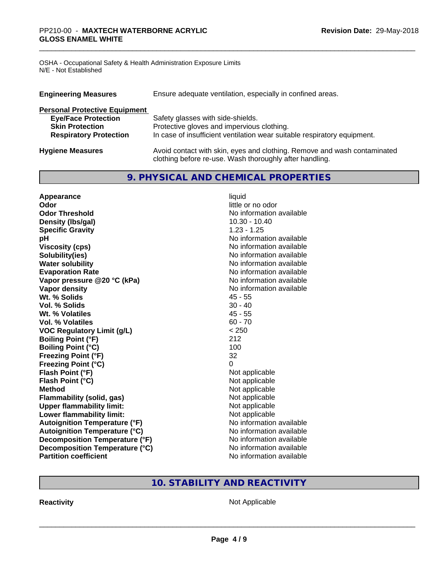OSHA - Occupational Safety & Health Administration Exposure Limits N/E - Not Established

| <b>Engineering Measures</b>          | Ensure adequate ventilation, especially in confined areas.                                                                          |
|--------------------------------------|-------------------------------------------------------------------------------------------------------------------------------------|
| <b>Personal Protective Equipment</b> |                                                                                                                                     |
| <b>Eye/Face Protection</b>           | Safety glasses with side-shields.                                                                                                   |
| <b>Skin Protection</b>               | Protective gloves and impervious clothing.                                                                                          |
| <b>Respiratory Protection</b>        | In case of insufficient ventilation wear suitable respiratory equipment.                                                            |
| <b>Hygiene Measures</b>              | Avoid contact with skin, eyes and clothing. Remove and wash contaminated<br>clothing before re-use. Wash thoroughly after handling. |

# **9. PHYSICAL AND CHEMICAL PROPERTIES**

| Appearance                           | liquid                   |
|--------------------------------------|--------------------------|
| Odor                                 | little or no odor        |
| <b>Odor Threshold</b>                | No information available |
| Density (Ibs/gal)                    | $10.30 - 10.40$          |
| <b>Specific Gravity</b>              | $1.23 - 1.25$            |
| рH                                   | No information available |
| <b>Viscosity (cps)</b>               | No information available |
| Solubility(ies)                      | No information available |
| <b>Water solubility</b>              | No information available |
| <b>Evaporation Rate</b>              | No information available |
| Vapor pressure @20 °C (kPa)          | No information available |
| Vapor density                        | No information available |
| Wt. % Solids                         | 45 - 55                  |
| Vol. % Solids                        | $30 - 40$                |
| Wt. % Volatiles                      | $45 - 55$                |
| Vol. % Volatiles                     | $60 - 70$                |
| <b>VOC Regulatory Limit (g/L)</b>    | < 250                    |
| <b>Boiling Point (°F)</b>            | 212                      |
| <b>Boiling Point (°C)</b>            | 100                      |
| <b>Freezing Point (°F)</b>           | 32                       |
| <b>Freezing Point (°C)</b>           | 0                        |
| Flash Point (°F)                     | Not applicable           |
| Flash Point (°C)                     | Not applicable           |
| <b>Method</b>                        | Not applicable           |
| Flammability (solid, gas)            | Not applicable           |
| <b>Upper flammability limit:</b>     | Not applicable           |
| Lower flammability limit:            | Not applicable           |
| <b>Autoignition Temperature (°F)</b> | No information available |
| <b>Autoignition Temperature (°C)</b> | No information available |
| Decomposition Temperature (°F)       | No information available |
| Decomposition Temperature (°C)       | No information available |
| <b>Partition coefficient</b>         | No information available |

# **10. STABILITY AND REACTIVITY**

**Reactivity Not Applicable** Not Applicable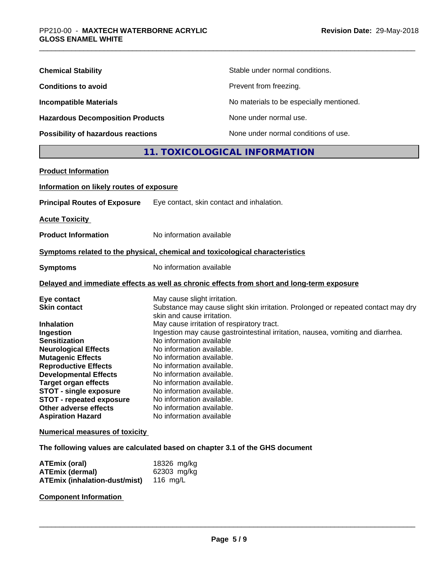| <b>Chemical Stability</b>               | Stable under normal conditions.          |
|-----------------------------------------|------------------------------------------|
| <b>Conditions to avoid</b>              | Prevent from freezing.                   |
| <b>Incompatible Materials</b>           | No materials to be especially mentioned. |
| <b>Hazardous Decomposition Products</b> | None under normal use.                   |
| Possibility of hazardous reactions      | None under normal conditions of use.     |

# **11. TOXICOLOGICAL INFORMATION**

| <b>Product Information</b>                                                                                                                                                                                                                                                             |                                                                                                                                                                                                                                                                                                                                                                                                                                                                                            |
|----------------------------------------------------------------------------------------------------------------------------------------------------------------------------------------------------------------------------------------------------------------------------------------|--------------------------------------------------------------------------------------------------------------------------------------------------------------------------------------------------------------------------------------------------------------------------------------------------------------------------------------------------------------------------------------------------------------------------------------------------------------------------------------------|
| Information on likely routes of exposure                                                                                                                                                                                                                                               |                                                                                                                                                                                                                                                                                                                                                                                                                                                                                            |
| <b>Principal Routes of Exposure</b>                                                                                                                                                                                                                                                    | Eye contact, skin contact and inhalation.                                                                                                                                                                                                                                                                                                                                                                                                                                                  |
| <b>Acute Toxicity</b>                                                                                                                                                                                                                                                                  |                                                                                                                                                                                                                                                                                                                                                                                                                                                                                            |
| <b>Product Information</b>                                                                                                                                                                                                                                                             | No information available                                                                                                                                                                                                                                                                                                                                                                                                                                                                   |
|                                                                                                                                                                                                                                                                                        | Symptoms related to the physical, chemical and toxicological characteristics                                                                                                                                                                                                                                                                                                                                                                                                               |
| <b>Symptoms</b>                                                                                                                                                                                                                                                                        | No information available                                                                                                                                                                                                                                                                                                                                                                                                                                                                   |
|                                                                                                                                                                                                                                                                                        | Delayed and immediate effects as well as chronic effects from short and long-term exposure                                                                                                                                                                                                                                                                                                                                                                                                 |
| Eye contact<br><b>Skin contact</b><br><b>Inhalation</b><br>Ingestion<br><b>Sensitization</b><br><b>Neurological Effects</b><br><b>Mutagenic Effects</b><br><b>Reproductive Effects</b><br><b>Developmental Effects</b><br><b>Target organ effects</b><br><b>STOT - single exposure</b> | May cause slight irritation.<br>Substance may cause slight skin irritation. Prolonged or repeated contact may dry<br>skin and cause irritation.<br>May cause irritation of respiratory tract.<br>Ingestion may cause gastrointestinal irritation, nausea, vomiting and diarrhea.<br>No information available<br>No information available.<br>No information available.<br>No information available.<br>No information available.<br>No information available.<br>No information available. |
| <b>STOT - repeated exposure</b><br>Other adverse effects<br><b>Aspiration Hazard</b>                                                                                                                                                                                                   | No information available.<br>No information available.<br>No information available                                                                                                                                                                                                                                                                                                                                                                                                         |
| <b>Numerical measures of toxicity</b>                                                                                                                                                                                                                                                  |                                                                                                                                                                                                                                                                                                                                                                                                                                                                                            |

**The following values are calculated based on chapter 3.1 of the GHS document**

| ATEmix (oral)                                 | 18326 mg/kg |
|-----------------------------------------------|-------------|
| <b>ATEmix (dermal)</b>                        | 62303 mg/kg |
| <b>ATEmix (inhalation-dust/mist)</b> 116 mg/L |             |

**Component Information**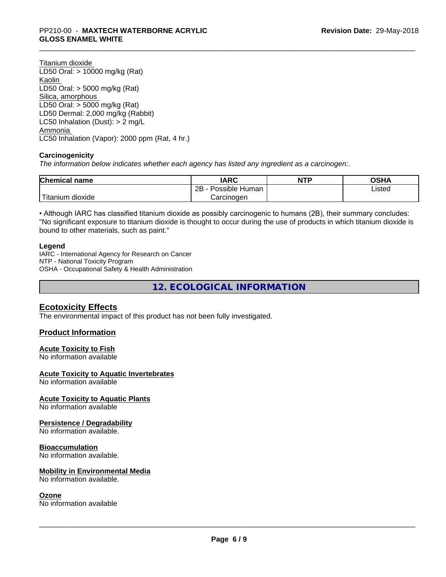Titanium dioxide LD50 Oral: > 10000 mg/kg (Rat) Kaolin LD50 Oral: > 5000 mg/kg (Rat) Silica, amorphous LD50 Oral: > 5000 mg/kg (Rat) LD50 Dermal: 2,000 mg/kg (Rabbit) LC50 Inhalation (Dust): > 2 mg/L Ammonia LC50 Inhalation (Vapor): 2000 ppm (Rat, 4 hr.)

#### **Carcinogenicity**

*The information below indicateswhether each agency has listed any ingredient as a carcinogen:.*

| <b>Chemical name</b>          | <b>IARC</b>               | <b>NTP</b> | <b>OSHA</b> |
|-------------------------------|---------------------------|------------|-------------|
|                               | .<br>2B<br>Possible Human |            | Listed      |
| † ⊤u.<br>dioxide<br>I itanium | Carcinogen                |            |             |

• Although IARC has classified titanium dioxide as possibly carcinogenic to humans (2B), their summary concludes: "No significant exposure to titanium dioxide is thought to occur during the use of products in which titanium dioxide is bound to other materials, such as paint."

#### **Legend**

IARC - International Agency for Research on Cancer NTP - National Toxicity Program OSHA - Occupational Safety & Health Administration

**12. ECOLOGICAL INFORMATION**

# **Ecotoxicity Effects**

The environmental impact of this product has not been fully investigated.

#### **Product Information**

#### **Acute Toxicity to Fish**

No information available

#### **Acute Toxicity to Aquatic Invertebrates**

No information available

#### **Acute Toxicity to Aquatic Plants**

No information available

#### **Persistence / Degradability**

No information available.

#### **Bioaccumulation**

No information available.

#### **Mobility in Environmental Media**

No information available.

#### **Ozone**

No information available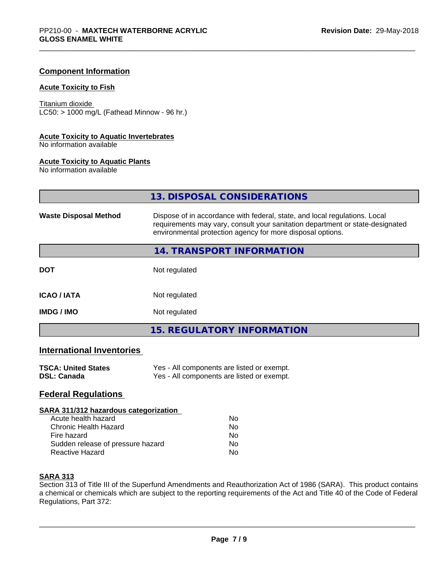#### **Component Information**

#### **Acute Toxicity to Fish**

Titanium dioxide  $LC50:$  > 1000 mg/L (Fathead Minnow - 96 hr.)

### **Acute Toxicity to Aquatic Invertebrates**

No information available

#### **Acute Toxicity to Aquatic Plants**

No information available

|                              | 13. DISPOSAL CONSIDERATIONS                                                                                                                                                                                               |
|------------------------------|---------------------------------------------------------------------------------------------------------------------------------------------------------------------------------------------------------------------------|
| <b>Waste Disposal Method</b> | Dispose of in accordance with federal, state, and local regulations. Local<br>requirements may vary, consult your sanitation department or state-designated<br>environmental protection agency for more disposal options. |
|                              | 14. TRANSPORT INFORMATION                                                                                                                                                                                                 |
| <b>DOT</b>                   | Not regulated                                                                                                                                                                                                             |
| <b>ICAO / IATA</b>           | Not regulated                                                                                                                                                                                                             |
| <b>IMDG/IMO</b>              | Not regulated                                                                                                                                                                                                             |
|                              | <b>15. REGULATORY INFORMATION</b>                                                                                                                                                                                         |

# **International Inventories**

| <b>TSCA: United States</b> | Yes - All components are listed or exempt. |
|----------------------------|--------------------------------------------|
| <b>DSL: Canada</b>         | Yes - All components are listed or exempt. |

# **Federal Regulations**

#### **SARA 311/312 hazardous categorization**

| Acute health hazard               | Nο |
|-----------------------------------|----|
| Chronic Health Hazard             | Nο |
| Fire hazard                       | Nο |
| Sudden release of pressure hazard | Nο |
| Reactive Hazard                   | N٥ |

#### **SARA 313**

Section 313 of Title III of the Superfund Amendments and Reauthorization Act of 1986 (SARA). This product contains a chemical or chemicals which are subject to the reporting requirements of the Act and Title 40 of the Code of Federal Regulations, Part 372: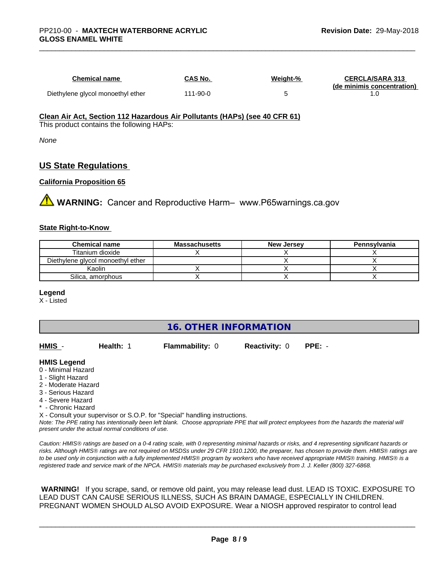| <b>Chemical name</b>              | CAS No.  | Weight-% | <b>CERCLA/SARA 313</b><br>(de minimis concentration) |
|-----------------------------------|----------|----------|------------------------------------------------------|
| Diethylene glycol monoethyl ether | 111-90-0 |          |                                                      |

# **Clean Air Act,Section 112 Hazardous Air Pollutants (HAPs) (see 40 CFR 61)**

This product contains the following HAPs:

*None*

# **US State Regulations**

#### **California Proposition 65**

**WARNING:** Cancer and Reproductive Harm– www.P65warnings.ca.gov

#### **State Right-to-Know**

| <b>Chemical name</b>              | Massachusetts | <b>New Jersey</b> | Pennsylvania |
|-----------------------------------|---------------|-------------------|--------------|
| Titanium dioxide                  |               |                   |              |
| Diethylene glycol monoethyl ether |               |                   |              |
| Kaolin                            |               |                   |              |
| Silica, amorphous                 |               |                   |              |

#### **Legend**

X - Listed

**16. OTHER INFORMATION**

| HMIS | Health: 1 | <b>Flammability: 0</b> | <b>Reactivity: 0</b> | PPE: - |
|------|-----------|------------------------|----------------------|--------|
|      |           |                        |                      |        |

#### **HMIS Legend**

- 0 Minimal Hazard
- 1 Slight Hazard
- 2 Moderate Hazard
- 3 Serious Hazard
- 4 Severe Hazard
- \* Chronic Hazard
- X Consult your supervisor or S.O.P. for "Special" handling instructions.

*Note: The PPE rating has intentionally been left blank. Choose appropriate PPE that will protect employees from the hazards the material will present under the actual normal conditions of use.*

*Caution: HMISÒ ratings are based on a 0-4 rating scale, with 0 representing minimal hazards or risks, and 4 representing significant hazards or risks. Although HMISÒ ratings are not required on MSDSs under 29 CFR 1910.1200, the preparer, has chosen to provide them. HMISÒ ratings are to be used only in conjunction with a fully implemented HMISÒ program by workers who have received appropriate HMISÒ training. HMISÒ is a registered trade and service mark of the NPCA. HMISÒ materials may be purchased exclusively from J. J. Keller (800) 327-6868.*

 **WARNING!** If you scrape, sand, or remove old paint, you may release lead dust. LEAD IS TOXIC. EXPOSURE TO LEAD DUST CAN CAUSE SERIOUS ILLNESS, SUCH AS BRAIN DAMAGE, ESPECIALLY IN CHILDREN. PREGNANT WOMEN SHOULD ALSO AVOID EXPOSURE.Wear a NIOSH approved respirator to control lead